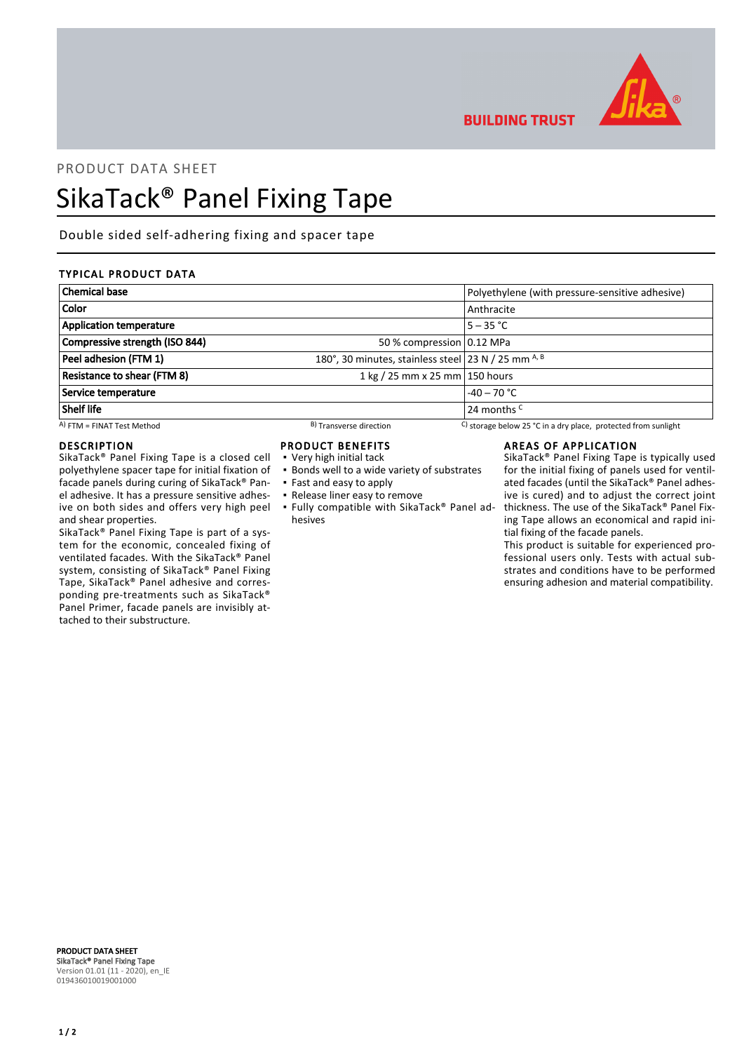

**BUILDING TRUST** 

## PRODUCT DATA SHEET

# SikaTack® Panel Fixing Tape

Double sided self-adhering fixing and spacer tape

## TYPICAL PRODUCT DATA

| <b>Chemical base</b>               |                                                     | Polyethylene (with pressure-sensitive adhesive)                |  |
|------------------------------------|-----------------------------------------------------|----------------------------------------------------------------|--|
| <b>Color</b>                       |                                                     | Anthracite                                                     |  |
| <b>Application temperature</b>     |                                                     | $5 - 35 °C$                                                    |  |
| Compressive strength (ISO 844)     | 50 % compression 0.12 MPa                           |                                                                |  |
| Peel adhesion (FTM 1)              | 180°, 30 minutes, stainless steel 23 N / 25 mm A, B |                                                                |  |
| <b>Resistance to shear (FTM 8)</b> | 1 kg / 25 mm x 25 mm $ $ 150 hours                  |                                                                |  |
| Service temperature                | $-40 - 70$ °C                                       |                                                                |  |
| Shelf life                         |                                                     | 24 months <sup>C</sup>                                         |  |
| $(A)$ FTM = FINAT Test Method      | <sup>B</sup> ) Transverse direction                 | C) storage below 25 °C in a dry place, protected from sunlight |  |

#### DESCRIPTION

SikaTack® Panel Fixing Tape is a closed cell polyethylene spacer tape for initial fixation of facade panels during curing of SikaTack® Panel adhesive. It has a pressure sensitive adhesive on both sides and offers very high peel and shear properties.

SikaTack® Panel Fixing Tape is part of a system for the economic, concealed fixing of ventilated facades. With the SikaTack® Panel system, consisting of SikaTack® Panel Fixing Tape, SikaTack® Panel adhesive and corresponding pre-treatments such as SikaTack® Panel Primer, facade panels are invisibly attached to their substructure.

### PRODUCT BENEFITS

- Very high initial tack
- **.** Bonds well to a wide variety of substrates
- Fast and easy to apply
- Release liner easy to remove
- Fully compatible with SikaTack® Panel ad-▪ hesives

#### AREAS OF APPLICATION

SikaTack® Panel Fixing Tape is typically used for the initial fixing of panels used for ventilated facades (until the SikaTack® Panel adhesive is cured) and to adjust the correct joint thickness. The use of the SikaTack® Panel Fixing Tape allows an economical and rapid initial fixing of the facade panels.

This product is suitable for experienced professional users only. Tests with actual substrates and conditions have to be performed ensuring adhesion and material compatibility.

PRODUCT DATA SHEET SikaTack® Panel Fixing Tape Version 01.01 (11 - 2020), en\_IE 019436010019001000